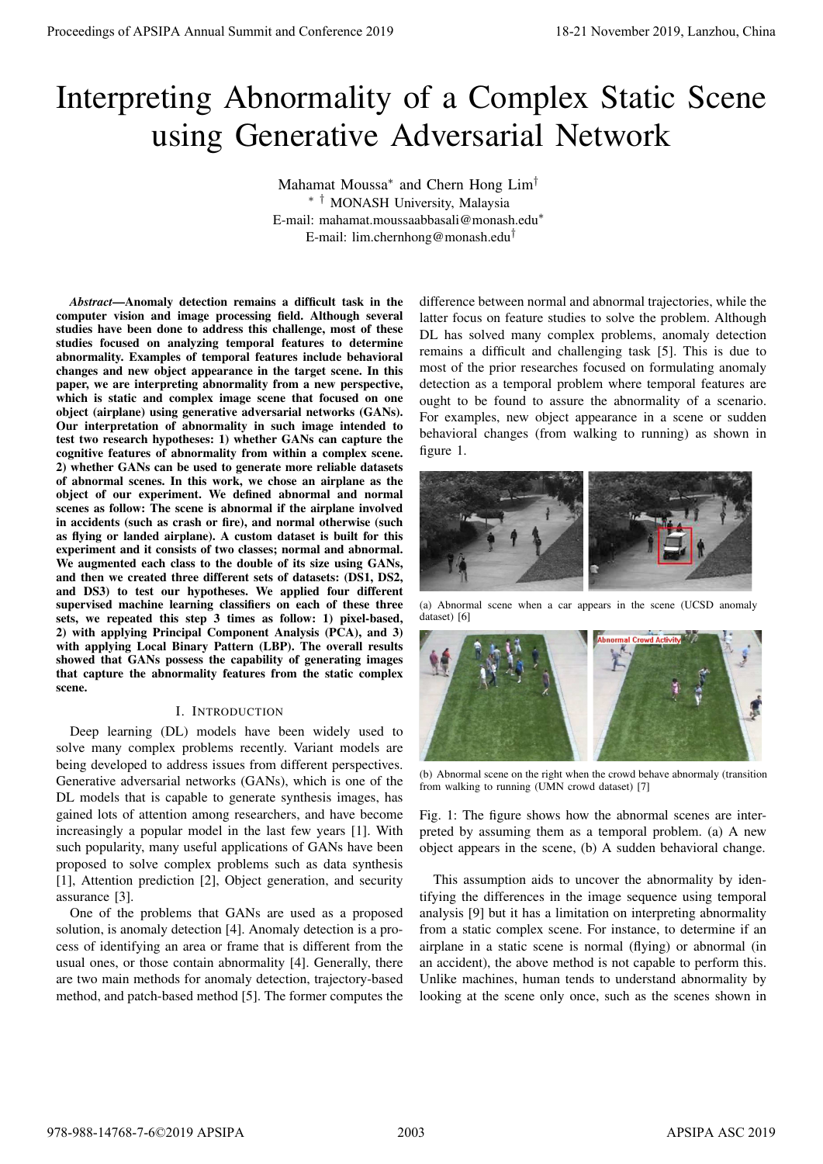# Interpreting Abnormality of a Complex Static Scene using Generative Adversarial Network

Mahamat Moussa<sup>∗</sup> and Chern Hong Lim† ∗ † MONASH University, Malaysia E-mail: mahamat.moussaabbasali@monash.edu<sup>∗</sup> E-mail: lim.chernhong@monash.edu†

*Abstract*—Anomaly detection remains a difficult task in the computer vision and image processing field. Although several studies have been done to address this challenge, most of these studies focused on analyzing temporal features to determine abnormality. Examples of temporal features include behavioral changes and new object appearance in the target scene. In this paper, we are interpreting abnormality from a new perspective, which is static and complex image scene that focused on one object (airplane) using generative adversarial networks (GANs). Our interpretation of abnormality in such image intended to test two research hypotheses: 1) whether GANs can capture the cognitive features of abnormality from within a complex scene. 2) whether GANs can be used to generate more reliable datasets of abnormal scenes. In this work, we chose an airplane as the object of our experiment. We defined abnormal and normal scenes as follow: The scene is abnormal if the airplane involved in accidents (such as crash or fire), and normal otherwise (such as flying or landed airplane). A custom dataset is built for this experiment and it consists of two classes; normal and abnormal. We augmented each class to the double of its size using GANs, and then we created three different sets of datasets: (DS1, DS2, and DS3) to test our hypotheses. We applied four different supervised machine learning classifiers on each of these three sets, we repeated this step 3 times as follow: 1) pixel-based, 2) with applying Principal Component Analysis (PCA), and 3) with applying Local Binary Pattern (LBP). The overall results showed that GANs possess the capability of generating images that capture the abnormality features from the static complex scene. Proceedings of APSIPA Annual Summit and Conference 2019 18-21 November 2019, Lanzhou, China 978-988-14768-7-6©2019 APSIPA 2003 APSIPA ASC 2019

### I. INTRODUCTION

Deep learning (DL) models have been widely used to solve many complex problems recently. Variant models are being developed to address issues from different perspectives. Generative adversarial networks (GANs), which is one of the DL models that is capable to generate synthesis images, has gained lots of attention among researchers, and have become increasingly a popular model in the last few years [1]. With such popularity, many useful applications of GANs have been proposed to solve complex problems such as data synthesis [1], Attention prediction [2], Object generation, and security assurance [3].

One of the problems that GANs are used as a proposed solution, is anomaly detection [4]. Anomaly detection is a process of identifying an area or frame that is different from the usual ones, or those contain abnormality [4]. Generally, there are two main methods for anomaly detection, trajectory-based method, and patch-based method [5]. The former computes the

difference between normal and abnormal trajectories, while the latter focus on feature studies to solve the problem. Although DL has solved many complex problems, anomaly detection remains a difficult and challenging task [5]. This is due to most of the prior researches focused on formulating anomaly detection as a temporal problem where temporal features are ought to be found to assure the abnormality of a scenario. For examples, new object appearance in a scene or sudden behavioral changes (from walking to running) as shown in figure 1.



(a) Abnormal scene when a car appears in the scene (UCSD anomaly dataset) [6]



(b) Abnormal scene on the right when the crowd behave abnormaly (transition from walking to running (UMN crowd dataset) [7]

Fig. 1: The figure shows how the abnormal scenes are interpreted by assuming them as a temporal problem. (a) A new object appears in the scene, (b) A sudden behavioral change.

This assumption aids to uncover the abnormality by identifying the differences in the image sequence using temporal analysis [9] but it has a limitation on interpreting abnormality from a static complex scene. For instance, to determine if an airplane in a static scene is normal (flying) or abnormal (in an accident), the above method is not capable to perform this. Unlike machines, human tends to understand abnormality by looking at the scene only once, such as the scenes shown in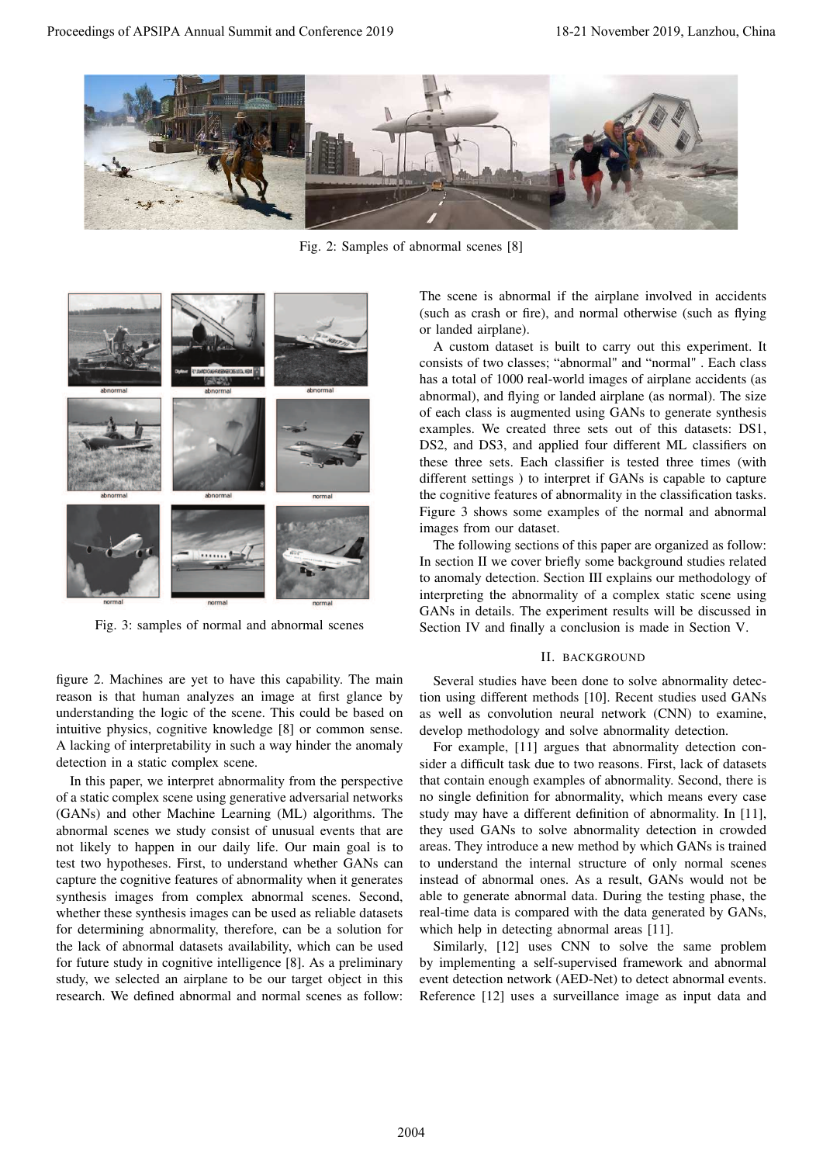

Fig. 2: Samples of abnormal scenes [8]



Fig. 3: samples of normal and abnormal scenes

figure 2. Machines are yet to have this capability. The main reason is that human analyzes an image at first glance by understanding the logic of the scene. This could be based on intuitive physics, cognitive knowledge [8] or common sense. A lacking of interpretability in such a way hinder the anomaly detection in a static complex scene.

In this paper, we interpret abnormality from the perspective of a static complex scene using generative adversarial networks (GANs) and other Machine Learning (ML) algorithms. The abnormal scenes we study consist of unusual events that are not likely to happen in our daily life. Our main goal is to test two hypotheses. First, to understand whether GANs can capture the cognitive features of abnormality when it generates synthesis images from complex abnormal scenes. Second, whether these synthesis images can be used as reliable datasets for determining abnormality, therefore, can be a solution for the lack of abnormal datasets availability, which can be used for future study in cognitive intelligence [8]. As a preliminary study, we selected an airplane to be our target object in this research. We defined abnormal and normal scenes as follow:

The scene is abnormal if the airplane involved in accidents (such as crash or fire), and normal otherwise (such as flying or landed airplane).

A custom dataset is built to carry out this experiment. It consists of two classes; "abnormal" and "normal" . Each class has a total of 1000 real-world images of airplane accidents (as abnormal), and flying or landed airplane (as normal). The size of each class is augmented using GANs to generate synthesis examples. We created three sets out of this datasets: DS1, DS2, and DS3, and applied four different ML classifiers on these three sets. Each classifier is tested three times (with different settings ) to interpret if GANs is capable to capture the cognitive features of abnormality in the classification tasks. Figure 3 shows some examples of the normal and abnormal images from our dataset.

The following sections of this paper are organized as follow: In section II we cover briefly some background studies related to anomaly detection. Section III explains our methodology of interpreting the abnormality of a complex static scene using GANs in details. The experiment results will be discussed in Section IV and finally a conclusion is made in Section V.

#### II. BACKGROUND

Several studies have been done to solve abnormality detection using different methods [10]. Recent studies used GANs as well as convolution neural network (CNN) to examine, develop methodology and solve abnormality detection.

For example, [11] argues that abnormality detection consider a difficult task due to two reasons. First, lack of datasets that contain enough examples of abnormality. Second, there is no single definition for abnormality, which means every case study may have a different definition of abnormality. In [11], they used GANs to solve abnormality detection in crowded areas. They introduce a new method by which GANs is trained to understand the internal structure of only normal scenes instead of abnormal ones. As a result, GANs would not be able to generate abnormal data. During the testing phase, the real-time data is compared with the data generated by GANs, which help in detecting abnormal areas [11].

Similarly, [12] uses CNN to solve the same problem by implementing a self-supervised framework and abnormal event detection network (AED-Net) to detect abnormal events. Reference [12] uses a surveillance image as input data and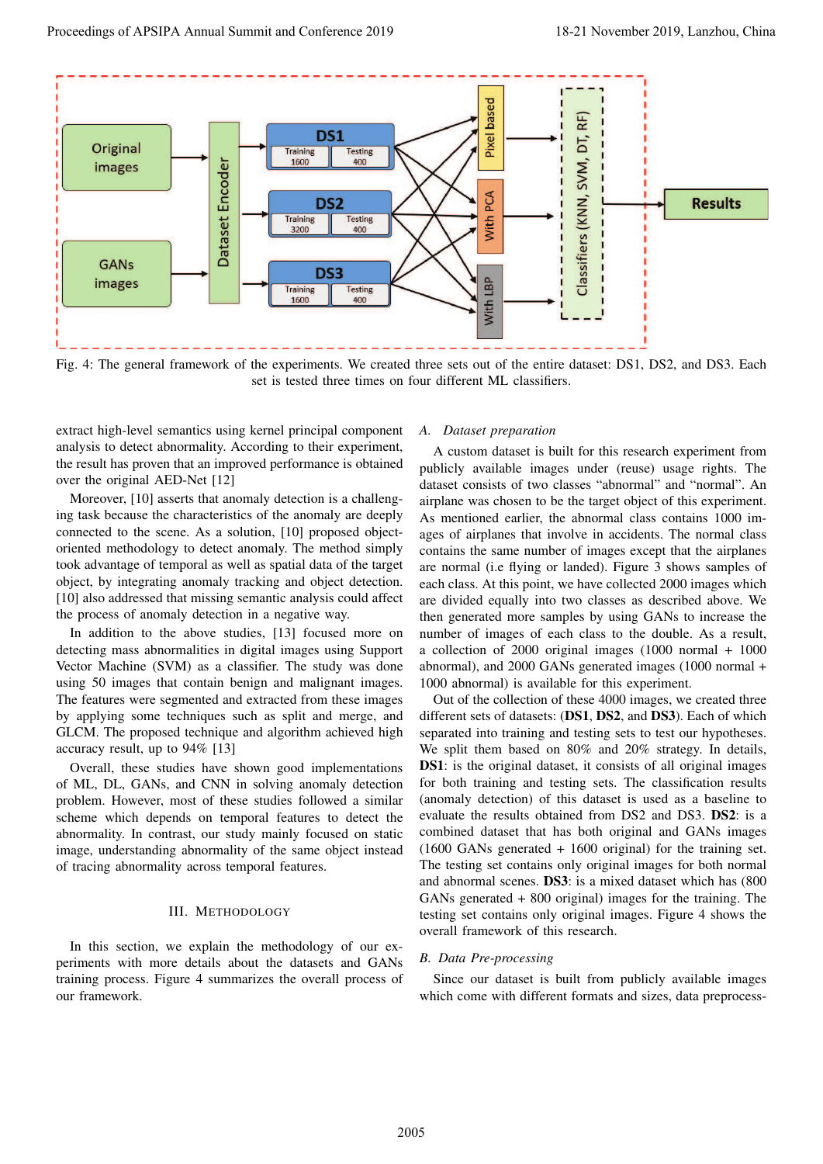

Fig. 4: The general framework of the experiments. We created three sets out of the entire dataset: DS1, DS2, and DS3. Each set is tested three times on four different ML classifiers.

extract high-level semantics using kernel principal component analysis to detect abnormality. According to their experiment, the result has proven that an improved performance is obtained over the original AED-Net [12]

Moreover, [10] asserts that anomaly detection is a challenging task because the characteristics of the anomaly are deeply connected to the scene. As a solution, [10] proposed objectoriented methodology to detect anomaly. The method simply took advantage of temporal as well as spatial data of the target object, by integrating anomaly tracking and object detection. [10] also addressed that missing semantic analysis could affect the process of anomaly detection in a negative way.

In addition to the above studies, [13] focused more on detecting mass abnormalities in digital images using Support Vector Machine (SVM) as a classifier. The study was done using 50 images that contain benign and malignant images. The features were segmented and extracted from these images by applying some techniques such as split and merge, and GLCM. The proposed technique and algorithm achieved high accuracy result, up to 94% [13]

Overall, these studies have shown good implementations of ML, DL, GANs, and CNN in solving anomaly detection problem. However, most of these studies followed a similar scheme which depends on temporal features to detect the abnormality. In contrast, our study mainly focused on static image, understanding abnormality of the same object instead of tracing abnormality across temporal features.

## III. METHODOLOGY

In this section, we explain the methodology of our experiments with more details about the datasets and GANs training process. Figure 4 summarizes the overall process of our framework.

#### *A. Dataset preparation*

A custom dataset is built for this research experiment from publicly available images under (reuse) usage rights. The dataset consists of two classes "abnormal" and "normal". An airplane was chosen to be the target object of this experiment. As mentioned earlier, the abnormal class contains 1000 images of airplanes that involve in accidents. The normal class contains the same number of images except that the airplanes are normal (i.e flying or landed). Figure 3 shows samples of each class. At this point, we have collected 2000 images which are divided equally into two classes as described above. We then generated more samples by using GANs to increase the number of images of each class to the double. As a result, a collection of 2000 original images (1000 normal + 1000 abnormal), and 2000 GANs generated images (1000 normal + 1000 abnormal) is available for this experiment.

Out of the collection of these 4000 images, we created three different sets of datasets: (DS1, DS2, and DS3). Each of which separated into training and testing sets to test our hypotheses. We split them based on 80% and 20% strategy. In details, DS1: is the original dataset, it consists of all original images for both training and testing sets. The classification results (anomaly detection) of this dataset is used as a baseline to evaluate the results obtained from DS2 and DS3. DS2: is a combined dataset that has both original and GANs images (1600 GANs generated + 1600 original) for the training set. The testing set contains only original images for both normal and abnormal scenes. DS3: is a mixed dataset which has (800 GANs generated + 800 original) images for the training. The testing set contains only original images. Figure 4 shows the overall framework of this research.

### *B. Data Pre-processing*

Since our dataset is built from publicly available images which come with different formats and sizes, data preprocess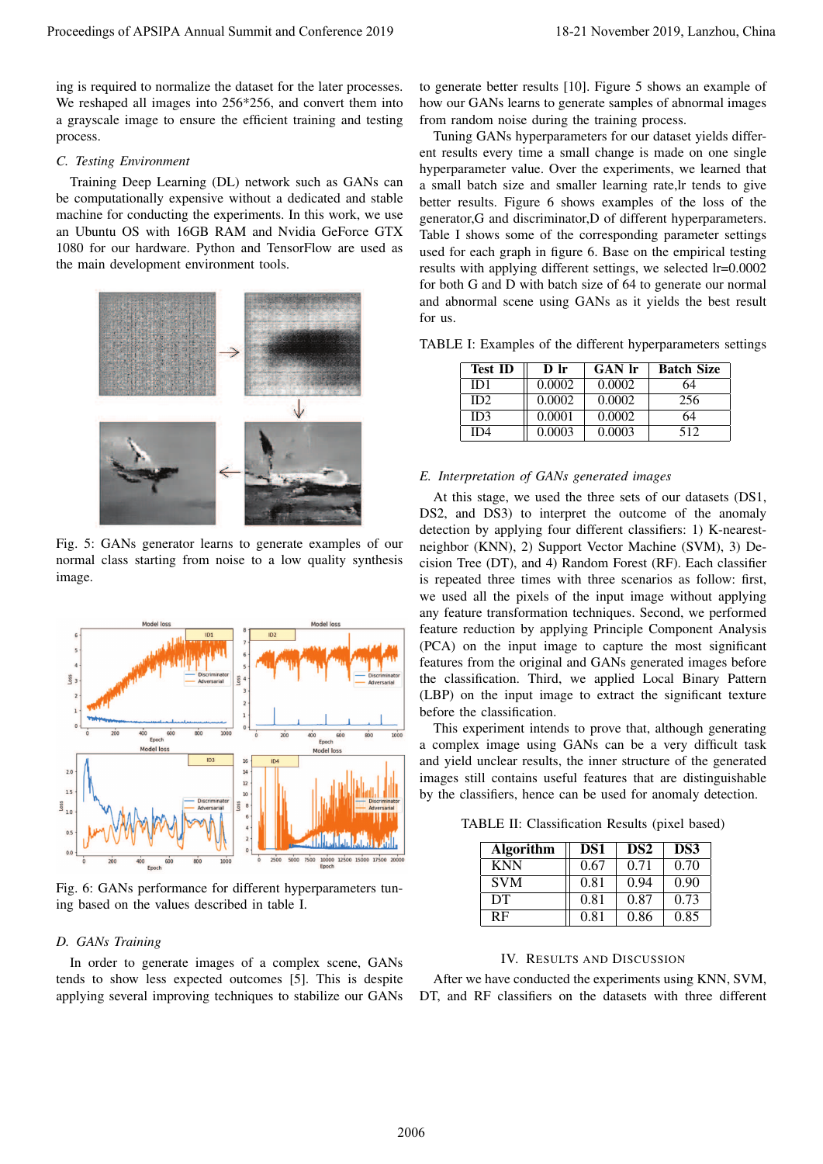ing is required to normalize the dataset for the later processes. We reshaped all images into 256\*256, and convert them into a grayscale image to ensure the efficient training and testing process.

#### *C. Testing Environment*

Training Deep Learning (DL) network such as GANs can be computationally expensive without a dedicated and stable machine for conducting the experiments. In this work, we use an Ubuntu OS with 16GB RAM and Nvidia GeForce GTX 1080 for our hardware. Python and TensorFlow are used as the main development environment tools.



Fig. 5: GANs generator learns to generate examples of our normal class starting from noise to a low quality synthesis image.



Fig. 6: GANs performance for different hyperparameters tuning based on the values described in table I.

#### *D. GANs Training*

In order to generate images of a complex scene, GANs tends to show less expected outcomes [5]. This is despite applying several improving techniques to stabilize our GANs to generate better results [10]. Figure 5 shows an example of how our GANs learns to generate samples of abnormal images from random noise during the training process.

Tuning GANs hyperparameters for our dataset yields different results every time a small change is made on one single hyperparameter value. Over the experiments, we learned that a small batch size and smaller learning rate,lr tends to give better results. Figure 6 shows examples of the loss of the generator,G and discriminator,D of different hyperparameters. Table I shows some of the corresponding parameter settings used for each graph in figure 6. Base on the empirical testing results with applying different settings, we selected lr=0.0002 for both G and D with batch size of 64 to generate our normal and abnormal scene using GANs as it yields the best result for us.

TABLE I: Examples of the different hyperparameters settings

| <b>Test ID</b> | $\bf{D}$ $\bf{lr}$ | <b>GAN</b> lr | <b>Batch Size</b> |
|----------------|--------------------|---------------|-------------------|
| ID1            | 0.0002             | 0.0002        | 64                |
| ID2            | 0.0002             | 0.0002        | 256               |
| ID3            | 0.0001             | 0.0002        | 64                |
| ID4            | 0.0003             | 0.0003        | 512               |

## *E. Interpretation of GANs generated images*

At this stage, we used the three sets of our datasets (DS1, DS2, and DS3) to interpret the outcome of the anomaly detection by applying four different classifiers: 1) K-nearestneighbor (KNN), 2) Support Vector Machine (SVM), 3) Decision Tree (DT), and 4) Random Forest (RF). Each classifier is repeated three times with three scenarios as follow: first, we used all the pixels of the input image without applying any feature transformation techniques. Second, we performed feature reduction by applying Principle Component Analysis (PCA) on the input image to capture the most significant features from the original and GANs generated images before the classification. Third, we applied Local Binary Pattern (LBP) on the input image to extract the significant texture before the classification.

This experiment intends to prove that, although generating a complex image using GANs can be a very difficult task and yield unclear results, the inner structure of the generated images still contains useful features that are distinguishable by the classifiers, hence can be used for anomaly detection.

TABLE II: Classification Results (pixel based)

| <b>Algorithm</b> | DS1  | DS <sub>2</sub> | DS3  |
|------------------|------|-----------------|------|
| <b>KNN</b>       | 0.67 | 0.71            | 0.70 |
| <b>SVM</b>       | 0.81 | 0.94            | 0.90 |
| DT               | 0.81 | 0.87            | 0.73 |
| RF               | 0.81 | 0.86            | 0.85 |

## IV. RESULTS AND DISCUSSION

After we have conducted the experiments using KNN, SVM, DT, and RF classifiers on the datasets with three different